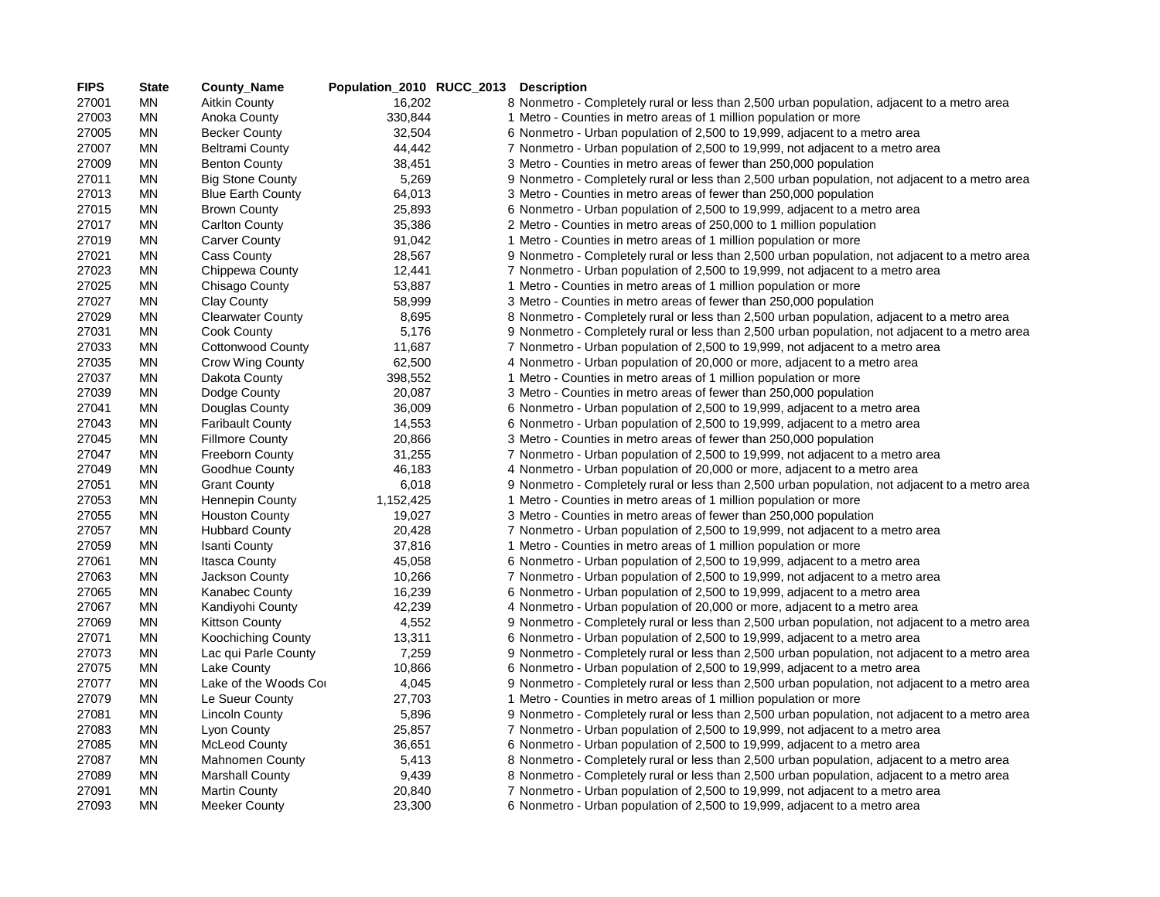| <b>FIPS</b> | <b>State</b> | <b>County_Name</b>        | Population_2010 RUCC_2013 Description |                                                                                                 |
|-------------|--------------|---------------------------|---------------------------------------|-------------------------------------------------------------------------------------------------|
| 27001       | ΜN           | <b>Aitkin County</b>      | 16,202                                | 8 Nonmetro - Completely rural or less than 2,500 urban population, adjacent to a metro area     |
| 27003       | ΜN           | Anoka County              | 330,844                               | 1 Metro - Counties in metro areas of 1 million population or more                               |
| 27005       | ΜN           | <b>Becker County</b>      | 32,504                                | 6 Nonmetro - Urban population of 2,500 to 19,999, adjacent to a metro area                      |
| 27007       | ΜN           | <b>Beltrami County</b>    | 44,442                                | 7 Nonmetro - Urban population of 2,500 to 19,999, not adjacent to a metro area                  |
| 27009       | ΜN           | <b>Benton County</b>      | 38,451                                | 3 Metro - Counties in metro areas of fewer than 250,000 population                              |
| 27011       | MN           | <b>Big Stone County</b>   | 5,269                                 | 9 Nonmetro - Completely rural or less than 2,500 urban population, not adjacent to a metro area |
| 27013       | MN           | <b>Blue Earth County</b>  | 64,013                                | 3 Metro - Counties in metro areas of fewer than 250,000 population                              |
| 27015       | ΜN           | <b>Brown County</b>       | 25,893                                | 6 Nonmetro - Urban population of 2,500 to 19,999, adjacent to a metro area                      |
| 27017       | ΜN           | <b>Carlton County</b>     | 35,386                                | 2 Metro - Counties in metro areas of 250,000 to 1 million population                            |
| 27019       | ΜN           | <b>Carver County</b>      | 91,042                                | 1 Metro - Counties in metro areas of 1 million population or more                               |
| 27021       | <b>MN</b>    | Cass County               | 28,567                                | 9 Nonmetro - Completely rural or less than 2,500 urban population, not adjacent to a metro area |
| 27023       | ΜN           | Chippewa County           | 12,441                                | 7 Nonmetro - Urban population of 2,500 to 19,999, not adjacent to a metro area                  |
| 27025       | ΜN           | Chisago County            | 53,887                                | 1 Metro - Counties in metro areas of 1 million population or more                               |
| 27027       | <b>MN</b>    | <b>Clay County</b>        | 58,999                                | 3 Metro - Counties in metro areas of fewer than 250,000 population                              |
| 27029       | MN           | <b>Clearwater County</b>  | 8,695                                 | 8 Nonmetro - Completely rural or less than 2,500 urban population, adjacent to a metro area     |
| 27031       | MN           | Cook County               | 5,176                                 | 9 Nonmetro - Completely rural or less than 2,500 urban population, not adjacent to a metro area |
| 27033       | MN           | <b>Cottonwood County</b>  | 11,687                                | 7 Nonmetro - Urban population of 2,500 to 19,999, not adjacent to a metro area                  |
| 27035       | MN           | Crow Wing County          | 62,500                                | 4 Nonmetro - Urban population of 20,000 or more, adjacent to a metro area                       |
| 27037       | ΜN           | Dakota County             | 398,552                               | 1 Metro - Counties in metro areas of 1 million population or more                               |
| 27039       | ΜN           | Dodge County              | 20,087                                | 3 Metro - Counties in metro areas of fewer than 250,000 population                              |
| 27041       | ΜN           | Douglas County            | 36,009                                | 6 Nonmetro - Urban population of 2,500 to 19,999, adjacent to a metro area                      |
| 27043       | ΜN           | <b>Faribault County</b>   | 14,553                                | 6 Nonmetro - Urban population of 2,500 to 19,999, adjacent to a metro area                      |
| 27045       | ΜN           | <b>Fillmore County</b>    | 20,866                                | 3 Metro - Counties in metro areas of fewer than 250,000 population                              |
| 27047       | <b>MN</b>    | Freeborn County           | 31,255                                | 7 Nonmetro - Urban population of 2,500 to 19,999, not adjacent to a metro area                  |
| 27049       | ΜN           | Goodhue County            | 46,183                                | 4 Nonmetro - Urban population of 20,000 or more, adjacent to a metro area                       |
| 27051       | <b>MN</b>    | <b>Grant County</b>       | 6,018                                 | 9 Nonmetro - Completely rural or less than 2,500 urban population, not adjacent to a metro area |
| 27053       | <b>MN</b>    | <b>Hennepin County</b>    | 1,152,425                             | 1 Metro - Counties in metro areas of 1 million population or more                               |
| 27055       | MN           | <b>Houston County</b>     | 19,027                                | 3 Metro - Counties in metro areas of fewer than 250,000 population                              |
| 27057       | ΜN           | <b>Hubbard County</b>     | 20,428                                | 7 Nonmetro - Urban population of 2,500 to 19,999, not adjacent to a metro area                  |
| 27059       | ΜN           | <b>Isanti County</b>      | 37,816                                | 1 Metro - Counties in metro areas of 1 million population or more                               |
| 27061       | ΜN           | Itasca County             | 45,058                                | 6 Nonmetro - Urban population of 2,500 to 19,999, adjacent to a metro area                      |
| 27063       | MN           | Jackson County            | 10,266                                | 7 Nonmetro - Urban population of 2,500 to 19,999, not adjacent to a metro area                  |
| 27065       | MN           | <b>Kanabec County</b>     | 16,239                                | 6 Nonmetro - Urban population of 2,500 to 19,999, adjacent to a metro area                      |
| 27067       | ΜN           | Kandiyohi County          | 42,239                                | 4 Nonmetro - Urban population of 20,000 or more, adjacent to a metro area                       |
| 27069       | ΜN           | <b>Kittson County</b>     | 4,552                                 | 9 Nonmetro - Completely rural or less than 2,500 urban population, not adjacent to a metro area |
| 27071       | <b>MN</b>    | <b>Koochiching County</b> | 13,311                                | 6 Nonmetro - Urban population of 2,500 to 19,999, adjacent to a metro area                      |
| 27073       | ΜN           | Lac qui Parle County      | 7,259                                 | 9 Nonmetro - Completely rural or less than 2,500 urban population, not adjacent to a metro area |
| 27075       | ΜN           | Lake County               | 10,866                                | 6 Nonmetro - Urban population of 2,500 to 19,999, adjacent to a metro area                      |
| 27077       | MN           | Lake of the Woods Cor     | 4,045                                 | 9 Nonmetro - Completely rural or less than 2,500 urban population, not adjacent to a metro area |
| 27079       | <b>MN</b>    | Le Sueur County           | 27,703                                | 1 Metro - Counties in metro areas of 1 million population or more                               |
| 27081       | ΜN           | <b>Lincoln County</b>     | 5,896                                 | 9 Nonmetro - Completely rural or less than 2,500 urban population, not adjacent to a metro area |
| 27083       | MN           | Lyon County               | 25,857                                | 7 Nonmetro - Urban population of 2,500 to 19,999, not adjacent to a metro area                  |
| 27085       | MN           | <b>McLeod County</b>      | 36,651                                | 6 Nonmetro - Urban population of 2,500 to 19,999, adjacent to a metro area                      |
| 27087       | MN           | <b>Mahnomen County</b>    | 5,413                                 | 8 Nonmetro - Completely rural or less than 2,500 urban population, adjacent to a metro area     |
| 27089       | ΜN           | <b>Marshall County</b>    | 9,439                                 | 8 Nonmetro - Completely rural or less than 2,500 urban population, adjacent to a metro area     |
| 27091       | ΜN           | <b>Martin County</b>      | 20,840                                | 7 Nonmetro - Urban population of 2,500 to 19,999, not adjacent to a metro area                  |
| 27093       | ΜN           | <b>Meeker County</b>      | 23,300                                | 6 Nonmetro - Urban population of 2,500 to 19,999, adjacent to a metro area                      |